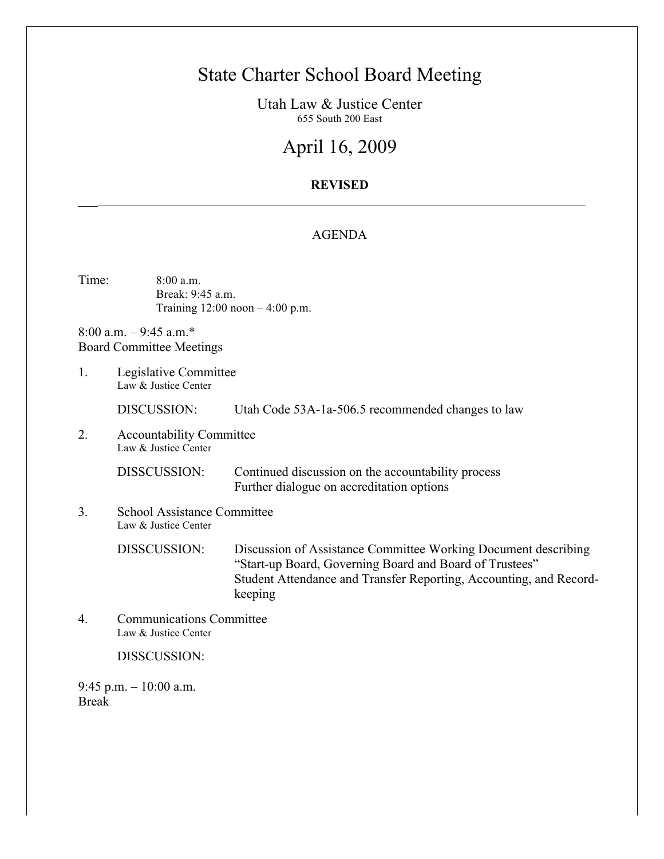# State Charter School Board Meeting

Utah Law & Justice Center 655 South 200 East

# April 16, 2009

## **REVISED**

#### AGENDA

Time: 8:00 a.m. Break: 9:45 a.m. Training 12:00 noon – 4:00 p.m.

8:00 a.m. – 9:45 a.m.\* Board Committee Meetings

 $\overline{\phantom{a}}$ 

1. Legislative Committee Law & Justice Center

DISCUSSION: Utah Code 53A-1a-506.5 recommended changes to law

2. Accountability Committee Law & Justice Center

> DISSCUSSION: Continued discussion on the accountability process Further dialogue on accreditation options

3. School Assistance Committee Law & Justice Center

> DISSCUSSION: Discussion of Assistance Committee Working Document describing "Start-up Board, Governing Board and Board of Trustees" Student Attendance and Transfer Reporting, Accounting, and Recordkeeping

4. Communications Committee Law & Justice Center

DISSCUSSION:

9:45 p.m. – 10:00 a.m. Break